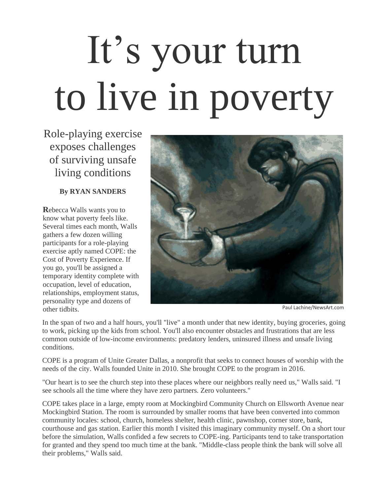## It's your turn to live in poverty

Role-playing exercise exposes challenges of surviving unsafe living conditions

## **By RYAN SANDERS**

**R**ebecca Walls wants you to know what poverty feels like. Several times each month, Walls gathers a few dozen willing participants for a role-playing exercise aptly named COPE: the Cost of Poverty Experience. If you go, you'll be assigned a temporary identity complete with occupation, level of education, relationships, employment status, personality type and dozens of other tidbits. Paul Lachine/NewsArt.com



In the span of two and a half hours, you'll "live" a month under that new identity, buying groceries, going to work, picking up the kids from school. You'll also encounter obstacles and frustrations that are less common outside of low-income environments: predatory lenders, uninsured illness and unsafe living conditions.

COPE is a program of Unite Greater Dallas, a nonprofit that seeks to connect houses of worship with the needs of the city. Walls founded Unite in 2010. She brought COPE to the program in 2016.

"Our heart is to see the church step into these places where our neighbors really need us," Walls said. "I see schools all the time where they have zero partners. Zero volunteers."

COPE takes place in a large, empty room at Mockingbird Community Church on Ellsworth Avenue near Mockingbird Station. The room is surrounded by smaller rooms that have been converted into common community locales: school, church, homeless shelter, health clinic, pawnshop, corner store, bank, courthouse and gas station. Earlier this month I visited this imaginary community myself. On a short tour before the simulation, Walls confided a few secrets to COPE-ing. Participants tend to take transportation for granted and they spend too much time at the bank. "Middle-class people think the bank will solve all their problems," Walls said.